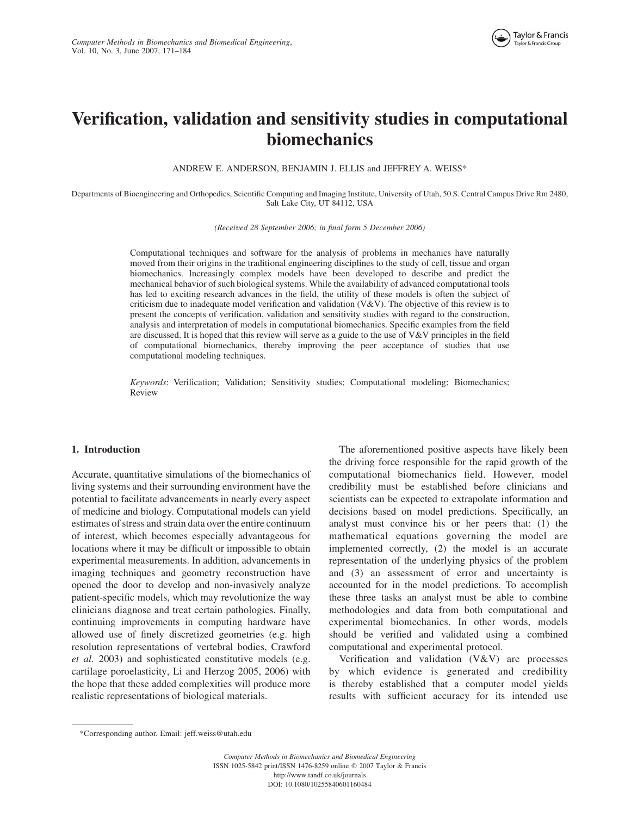

# Verification, validation and sensitivity studies in computational biomechanics

ANDREW E. ANDERSON, BENJAMIN J. ELLIS and JEFFREY A. WEISS\*

Departments of Bioengineering and Orthopedics, Scientific Computing and Imaging Institute, University of Utah, 50 S. Central Campus Drive Rm 2480, Salt Lake City, UT 84112, USA

(Received 28 September 2006; in final form 5 December 2006)

Computational techniques and software for the analysis of problems in mechanics have naturally moved from their origins in the traditional engineering disciplines to the study of cell, tissue and organ biomechanics. Increasingly complex models have been developed to describe and predict the mechanical behavior of such biological systems. While the availability of advanced computational tools has led to exciting research advances in the field, the utility of these models is often the subject of criticism due to inadequate model verification and validation (V&V). The objective of this review is to present the concepts of verification, validation and sensitivity studies with regard to the construction, analysis and interpretation of models in computational biomechanics. Specific examples from the field are discussed. It is hoped that this review will serve as a guide to the use of V&V principles in the field of computational biomechanics, thereby improving the peer acceptance of studies that use computational modeling techniques.

Keywords: Verification; Validation; Sensitivity studies; Computational modeling; Biomechanics; Review

## 1. Introduction

Accurate, quantitative simulations of the biomechanics of living systems and their surrounding environment have the potential to facilitate advancements in nearly every aspect of medicine and biology. Computational models can yield estimates of stress and strain data over the entire continuum of interest, which becomes especially advantageous for locations where it may be difficult or impossible to obtain experimental measurements. In addition, advancements in imaging techniques and geometry reconstruction have opened the door to develop and non-invasively analyze patient-specific models, which may revolutionize the way clinicians diagnose and treat certain pathologies. Finally, continuing improvements in computing hardware have allowed use of finely discretized geometries (e.g. high resolution representations of vertebral bodies, Crawford et al. 2003) and sophisticated constitutive models (e.g. cartilage poroelasticity, Li and Herzog 2005, 2006) with the hope that these added complexities will produce more realistic representations of biological materials.

The aforementioned positive aspects have likely been the driving force responsible for the rapid growth of the computational biomechanics field. However, model credibility must be established before clinicians and scientists can be expected to extrapolate information and decisions based on model predictions. Specifically, an analyst must convince his or her peers that: (1) the mathematical equations governing the model are implemented correctly, (2) the model is an accurate representation of the underlying physics of the problem and (3) an assessment of error and uncertainty is accounted for in the model predictions. To accomplish these three tasks an analyst must be able to combine methodologies and data from both computational and experimental biomechanics. In other words, models should be verified and validated using a combined computational and experimental protocol.

Verification and validation (V&V) are processes by which evidence is generated and credibility is thereby established that a computer model yields results with sufficient accuracy for its intended use

<sup>\*</sup>Corresponding author. Email: jeff.weiss@utah.edu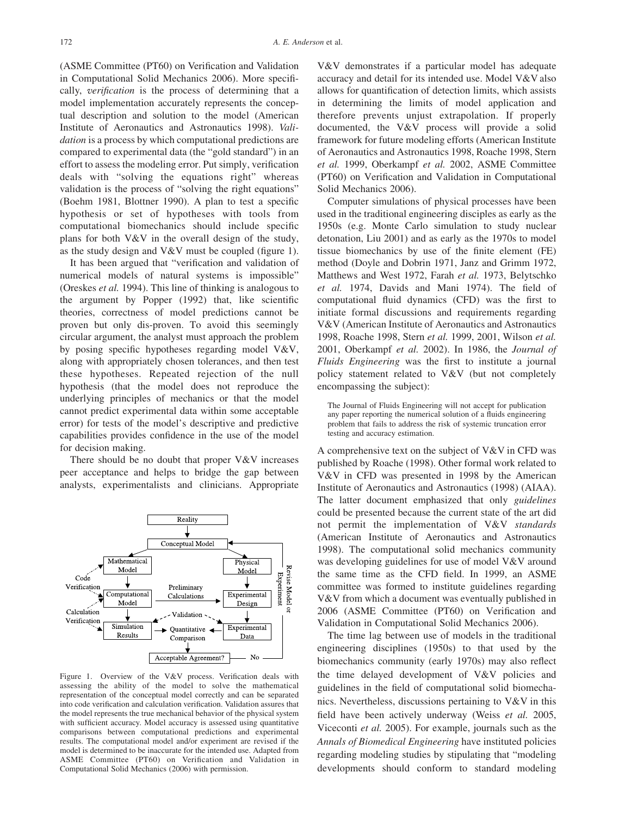(ASME Committee (PT60) on Verification and Validation in Computational Solid Mechanics 2006). More specifically, verification is the process of determining that a model implementation accurately represents the conceptual description and solution to the model (American Institute of Aeronautics and Astronautics 1998). Validation is a process by which computational predictions are compared to experimental data (the "gold standard") in an effort to assess the modeling error. Put simply, verification deals with "solving the equations right" whereas validation is the process of "solving the right equations" (Boehm 1981, Blottner 1990). A plan to test a specific hypothesis or set of hypotheses with tools from computational biomechanics should include specific plans for both V&V in the overall design of the study, as the study design and V&V must be coupled (figure 1).

It has been argued that "verification and validation of numerical models of natural systems is impossible" (Oreskes et al. 1994). This line of thinking is analogous to the argument by Popper (1992) that, like scientific theories, correctness of model predictions cannot be proven but only dis-proven. To avoid this seemingly circular argument, the analyst must approach the problem by posing specific hypotheses regarding model V&V, along with appropriately chosen tolerances, and then test these hypotheses. Repeated rejection of the null hypothesis (that the model does not reproduce the underlying principles of mechanics or that the model cannot predict experimental data within some acceptable error) for tests of the model's descriptive and predictive capabilities provides confidence in the use of the model for decision making.

There should be no doubt that proper V&V increases peer acceptance and helps to bridge the gap between analysts, experimentalists and clinicians. Appropriate



Figure 1. Overview of the V&V process. Verification deals with assessing the ability of the model to solve the mathematical representation of the conceptual model correctly and can be separated into code verification and calculation verification. Validation assures that the model represents the true mechanical behavior of the physical system with sufficient accuracy. Model accuracy is assessed using quantitative comparisons between computational predictions and experimental results. The computational model and/or experiment are revised if the model is determined to be inaccurate for the intended use. Adapted from ASME Committee (PT60) on Verification and Validation in Computational Solid Mechanics (2006) with permission.

V&V demonstrates if a particular model has adequate accuracy and detail for its intended use. Model V&V also allows for quantification of detection limits, which assists in determining the limits of model application and therefore prevents unjust extrapolation. If properly documented, the V&V process will provide a solid framework for future modeling efforts (American Institute of Aeronautics and Astronautics 1998, Roache 1998, Stern et al. 1999, Oberkampf et al. 2002, ASME Committee (PT60) on Verification and Validation in Computational Solid Mechanics 2006).

Computer simulations of physical processes have been used in the traditional engineering disciples as early as the 1950s (e.g. Monte Carlo simulation to study nuclear detonation, Liu 2001) and as early as the 1970s to model tissue biomechanics by use of the finite element (FE) method (Doyle and Dobrin 1971, Janz and Grimm 1972, Matthews and West 1972, Farah et al. 1973, Belytschko et al. 1974, Davids and Mani 1974). The field of computational fluid dynamics (CFD) was the first to initiate formal discussions and requirements regarding V&V (American Institute of Aeronautics and Astronautics 1998, Roache 1998, Stern et al. 1999, 2001, Wilson et al. 2001, Oberkampf et al. 2002). In 1986, the Journal of Fluids Engineering was the first to institute a journal policy statement related to V&V (but not completely encompassing the subject):

The Journal of Fluids Engineering will not accept for publication any paper reporting the numerical solution of a fluids engineering problem that fails to address the risk of systemic truncation error testing and accuracy estimation.

A comprehensive text on the subject of V&V in CFD was published by Roache (1998). Other formal work related to V&V in CFD was presented in 1998 by the American Institute of Aeronautics and Astronautics (1998) (AIAA). The latter document emphasized that only *guidelines* could be presented because the current state of the art did not permit the implementation of V&V *standards* (American Institute of Aeronautics and Astronautics 1998). The computational solid mechanics community was developing guidelines for use of model V&V around the same time as the CFD field. In 1999, an ASME committee was formed to institute guidelines regarding V&V from which a document was eventually published in 2006 (ASME Committee (PT60) on Verification and Validation in Computational Solid Mechanics 2006).

The time lag between use of models in the traditional engineering disciplines (1950s) to that used by the biomechanics community (early 1970s) may also reflect the time delayed development of V&V policies and guidelines in the field of computational solid biomechanics. Nevertheless, discussions pertaining to V&V in this field have been actively underway (Weiss et al. 2005, Viceconti et al. 2005). For example, journals such as the Annals of Biomedical Engineering have instituted policies regarding modeling studies by stipulating that "modeling developments should conform to standard modeling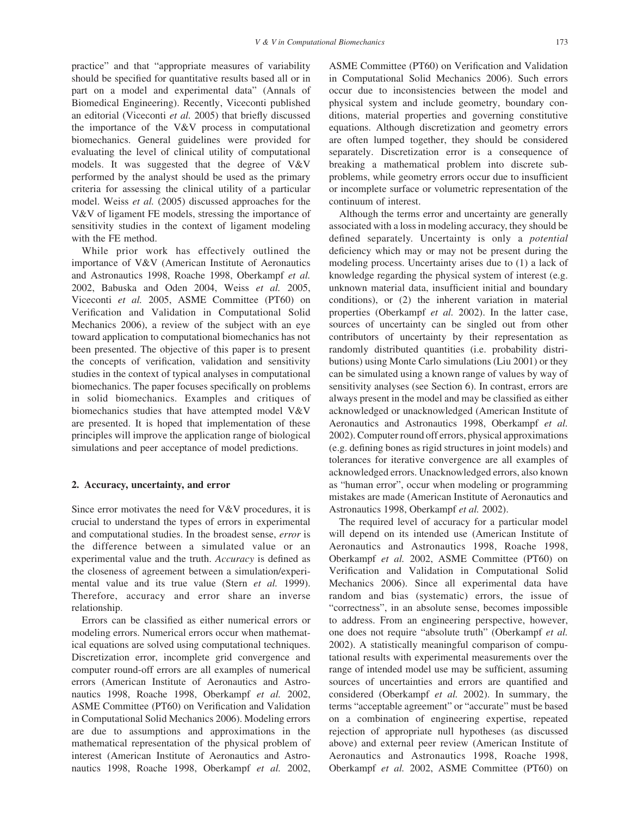practice" and that "appropriate measures of variability should be specified for quantitative results based all or in part on a model and experimental data" (Annals of Biomedical Engineering). Recently, Viceconti published an editorial (Viceconti et al. 2005) that briefly discussed the importance of the V&V process in computational biomechanics. General guidelines were provided for evaluating the level of clinical utility of computational models. It was suggested that the degree of V&V performed by the analyst should be used as the primary criteria for assessing the clinical utility of a particular model. Weiss et al. (2005) discussed approaches for the V&V of ligament FE models, stressing the importance of sensitivity studies in the context of ligament modeling with the FE method.

While prior work has effectively outlined the importance of V&V (American Institute of Aeronautics and Astronautics 1998, Roache 1998, Oberkampf et al. 2002, Babuska and Oden 2004, Weiss et al. 2005, Viceconti et al. 2005, ASME Committee (PT60) on Verification and Validation in Computational Solid Mechanics 2006), a review of the subject with an eye toward application to computational biomechanics has not been presented. The objective of this paper is to present the concepts of verification, validation and sensitivity studies in the context of typical analyses in computational biomechanics. The paper focuses specifically on problems in solid biomechanics. Examples and critiques of biomechanics studies that have attempted model V&V are presented. It is hoped that implementation of these principles will improve the application range of biological simulations and peer acceptance of model predictions.

#### 2. Accuracy, uncertainty, and error

Since error motivates the need for V&V procedures, it is crucial to understand the types of errors in experimental and computational studies. In the broadest sense, error is the difference between a simulated value or an experimental value and the truth. Accuracy is defined as the closeness of agreement between a simulation/experimental value and its true value (Stern et al. 1999). Therefore, accuracy and error share an inverse relationship.

Errors can be classified as either numerical errors or modeling errors. Numerical errors occur when mathematical equations are solved using computational techniques. Discretization error, incomplete grid convergence and computer round-off errors are all examples of numerical errors (American Institute of Aeronautics and Astronautics 1998, Roache 1998, Oberkampf et al. 2002, ASME Committee (PT60) on Verification and Validation in Computational Solid Mechanics 2006). Modeling errors are due to assumptions and approximations in the mathematical representation of the physical problem of interest (American Institute of Aeronautics and Astronautics 1998, Roache 1998, Oberkampf et al. 2002, ASME Committee (PT60) on Verification and Validation in Computational Solid Mechanics 2006). Such errors occur due to inconsistencies between the model and physical system and include geometry, boundary conditions, material properties and governing constitutive equations. Although discretization and geometry errors are often lumped together, they should be considered separately. Discretization error is a consequence of breaking a mathematical problem into discrete subproblems, while geometry errors occur due to insufficient or incomplete surface or volumetric representation of the continuum of interest.

Although the terms error and uncertainty are generally associated with a loss in modeling accuracy, they should be defined separately. Uncertainty is only a potential deficiency which may or may not be present during the modeling process. Uncertainty arises due to (1) a lack of knowledge regarding the physical system of interest (e.g. unknown material data, insufficient initial and boundary conditions), or (2) the inherent variation in material properties (Oberkampf et al. 2002). In the latter case, sources of uncertainty can be singled out from other contributors of uncertainty by their representation as randomly distributed quantities (i.e. probability distributions) using Monte Carlo simulations (Liu 2001) or they can be simulated using a known range of values by way of sensitivity analyses (see Section 6). In contrast, errors are always present in the model and may be classified as either acknowledged or unacknowledged (American Institute of Aeronautics and Astronautics 1998, Oberkampf et al. 2002). Computer round off errors, physical approximations (e.g. defining bones as rigid structures in joint models) and tolerances for iterative convergence are all examples of acknowledged errors. Unacknowledged errors, also known as "human error", occur when modeling or programming mistakes are made (American Institute of Aeronautics and Astronautics 1998, Oberkampf et al. 2002).

The required level of accuracy for a particular model will depend on its intended use (American Institute of Aeronautics and Astronautics 1998, Roache 1998, Oberkampf et al. 2002, ASME Committee (PT60) on Verification and Validation in Computational Solid Mechanics 2006). Since all experimental data have random and bias (systematic) errors, the issue of "correctness", in an absolute sense, becomes impossible to address. From an engineering perspective, however, one does not require "absolute truth" (Oberkampf et al. 2002). A statistically meaningful comparison of computational results with experimental measurements over the range of intended model use may be sufficient, assuming sources of uncertainties and errors are quantified and considered (Oberkampf et al. 2002). In summary, the terms "acceptable agreement" or "accurate" must be based on a combination of engineering expertise, repeated rejection of appropriate null hypotheses (as discussed above) and external peer review (American Institute of Aeronautics and Astronautics 1998, Roache 1998, Oberkampf et al. 2002, ASME Committee (PT60) on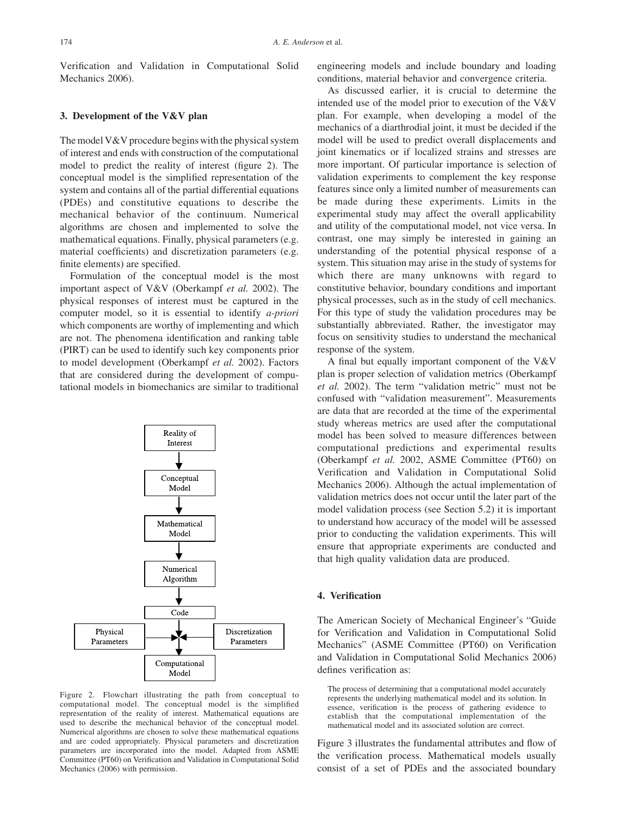Verification and Validation in Computational Solid Mechanics 2006).

## 3. Development of the V&V plan

The model V&V procedure begins with the physical system of interest and ends with construction of the computational model to predict the reality of interest (figure 2). The conceptual model is the simplified representation of the system and contains all of the partial differential equations (PDEs) and constitutive equations to describe the mechanical behavior of the continuum. Numerical algorithms are chosen and implemented to solve the mathematical equations. Finally, physical parameters (e.g. material coefficients) and discretization parameters (e.g. finite elements) are specified.

Formulation of the conceptual model is the most important aspect of V&V (Oberkampf et al. 2002). The physical responses of interest must be captured in the computer model, so it is essential to identify a-priori which components are worthy of implementing and which are not. The phenomena identification and ranking table (PIRT) can be used to identify such key components prior to model development (Oberkampf et al. 2002). Factors that are considered during the development of computational models in biomechanics are similar to traditional



Figure 2. Flowchart illustrating the path from conceptual to computational model. The conceptual model is the simplified representation of the reality of interest. Mathematical equations are used to describe the mechanical behavior of the conceptual model. Numerical algorithms are chosen to solve these mathematical equations and are coded appropriately. Physical parameters and discretization parameters are incorporated into the model. Adapted from ASME Committee (PT60) on Verification and Validation in Computational Solid Mechanics (2006) with permission.

engineering models and include boundary and loading conditions, material behavior and convergence criteria.

As discussed earlier, it is crucial to determine the intended use of the model prior to execution of the V&V plan. For example, when developing a model of the mechanics of a diarthrodial joint, it must be decided if the model will be used to predict overall displacements and joint kinematics or if localized strains and stresses are more important. Of particular importance is selection of validation experiments to complement the key response features since only a limited number of measurements can be made during these experiments. Limits in the experimental study may affect the overall applicability and utility of the computational model, not vice versa. In contrast, one may simply be interested in gaining an understanding of the potential physical response of a system. This situation may arise in the study of systems for which there are many unknowns with regard to constitutive behavior, boundary conditions and important physical processes, such as in the study of cell mechanics. For this type of study the validation procedures may be substantially abbreviated. Rather, the investigator may focus on sensitivity studies to understand the mechanical response of the system.

A final but equally important component of the V&V plan is proper selection of validation metrics (Oberkampf et al. 2002). The term "validation metric" must not be confused with "validation measurement". Measurements are data that are recorded at the time of the experimental study whereas metrics are used after the computational model has been solved to measure differences between computational predictions and experimental results (Oberkampf et al. 2002, ASME Committee (PT60) on Verification and Validation in Computational Solid Mechanics 2006). Although the actual implementation of validation metrics does not occur until the later part of the model validation process (see Section 5.2) it is important to understand how accuracy of the model will be assessed prior to conducting the validation experiments. This will ensure that appropriate experiments are conducted and that high quality validation data are produced.

## 4. Verification

The American Society of Mechanical Engineer's "Guide for Verification and Validation in Computational Solid Mechanics" (ASME Committee (PT60) on Verification and Validation in Computational Solid Mechanics 2006) defines verification as:

The process of determining that a computational model accurately represents the underlying mathematical model and its solution. In essence, verification is the process of gathering evidence to establish that the computational implementation of the mathematical model and its associated solution are correct.

Figure 3 illustrates the fundamental attributes and flow of the verification process. Mathematical models usually consist of a set of PDEs and the associated boundary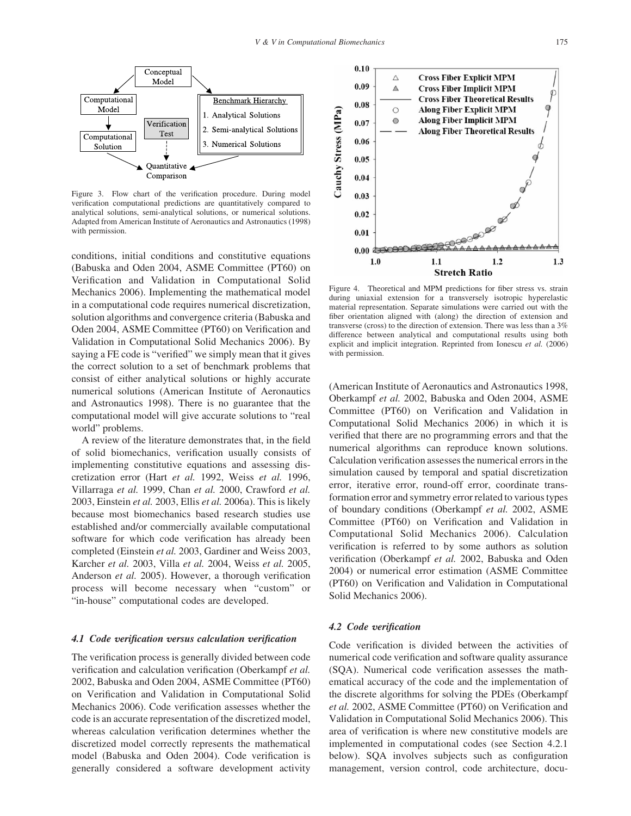

Figure 3. Flow chart of the verification procedure. During model verification computational predictions are quantitatively compared to analytical solutions, semi-analytical solutions, or numerical solutions. Adapted from American Institute of Aeronautics and Astronautics (1998) with permission.

conditions, initial conditions and constitutive equations (Babuska and Oden 2004, ASME Committee (PT60) on Verification and Validation in Computational Solid Mechanics 2006). Implementing the mathematical model in a computational code requires numerical discretization, solution algorithms and convergence criteria (Babuska and Oden 2004, ASME Committee (PT60) on Verification and Validation in Computational Solid Mechanics 2006). By saying a FE code is "verified" we simply mean that it gives the correct solution to a set of benchmark problems that consist of either analytical solutions or highly accurate numerical solutions (American Institute of Aeronautics and Astronautics 1998). There is no guarantee that the computational model will give accurate solutions to "real world" problems.

A review of the literature demonstrates that, in the field of solid biomechanics, verification usually consists of implementing constitutive equations and assessing discretization error (Hart et al. 1992, Weiss et al. 1996, Villarraga et al. 1999, Chan et al. 2000, Crawford et al. 2003, Einstein et al. 2003, Ellis et al. 2006a). This is likely because most biomechanics based research studies use established and/or commercially available computational software for which code verification has already been completed (Einstein et al. 2003, Gardiner and Weiss 2003, Karcher et al. 2003, Villa et al. 2004, Weiss et al. 2005, Anderson et al. 2005). However, a thorough verification process will become necessary when "custom" or "in-house" computational codes are developed.

## 4.1 Code verification versus calculation verification

The verification process is generally divided between code verification and calculation verification (Oberkampf et al. 2002, Babuska and Oden 2004, ASME Committee (PT60) on Verification and Validation in Computational Solid Mechanics 2006). Code verification assesses whether the code is an accurate representation of the discretized model, whereas calculation verification determines whether the discretized model correctly represents the mathematical model (Babuska and Oden 2004). Code verification is generally considered a software development activity



Figure 4. Theoretical and MPM predictions for fiber stress vs. strain during uniaxial extension for a transversely isotropic hyperelastic material representation. Separate simulations were carried out with the fiber orientation aligned with (along) the direction of extension and transverse (cross) to the direction of extension. There was less than a 3% difference between analytical and computational results using both explicit and implicit integration. Reprinted from Ionescu et al. (2006) with permission.

(American Institute of Aeronautics and Astronautics 1998, Oberkampf et al. 2002, Babuska and Oden 2004, ASME Committee (PT60) on Verification and Validation in Computational Solid Mechanics 2006) in which it is verified that there are no programming errors and that the numerical algorithms can reproduce known solutions. Calculation verification assesses the numerical errors in the simulation caused by temporal and spatial discretization error, iterative error, round-off error, coordinate transformation error and symmetry error related to various types of boundary conditions (Oberkampf et al. 2002, ASME Committee (PT60) on Verification and Validation in Computational Solid Mechanics 2006). Calculation verification is referred to by some authors as solution verification (Oberkampf et al. 2002, Babuska and Oden 2004) or numerical error estimation (ASME Committee (PT60) on Verification and Validation in Computational Solid Mechanics 2006).

## 4.2 Code verification

Code verification is divided between the activities of numerical code verification and software quality assurance (SQA). Numerical code verification assesses the mathematical accuracy of the code and the implementation of the discrete algorithms for solving the PDEs (Oberkampf et al. 2002, ASME Committee (PT60) on Verification and Validation in Computational Solid Mechanics 2006). This area of verification is where new constitutive models are implemented in computational codes (see Section 4.2.1 below). SQA involves subjects such as configuration management, version control, code architecture, docu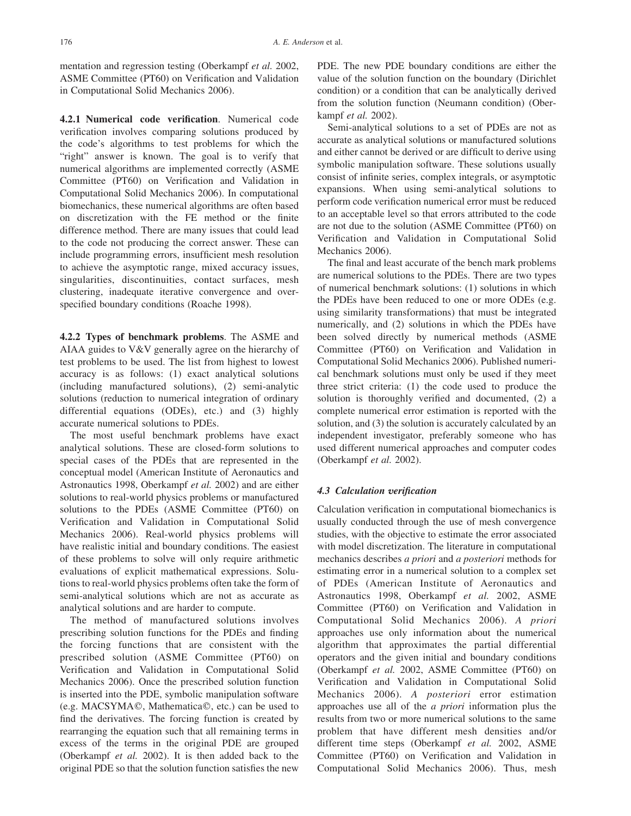mentation and regression testing (Oberkampf et al. 2002, ASME Committee (PT60) on Verification and Validation in Computational Solid Mechanics 2006).

4.2.1 Numerical code verification. Numerical code verification involves comparing solutions produced by the code's algorithms to test problems for which the "right" answer is known. The goal is to verify that numerical algorithms are implemented correctly (ASME Committee (PT60) on Verification and Validation in Computational Solid Mechanics 2006). In computational biomechanics, these numerical algorithms are often based on discretization with the FE method or the finite difference method. There are many issues that could lead to the code not producing the correct answer. These can include programming errors, insufficient mesh resolution to achieve the asymptotic range, mixed accuracy issues, singularities, discontinuities, contact surfaces, mesh clustering, inadequate iterative convergence and overspecified boundary conditions (Roache 1998).

4.2.2 Types of benchmark problems. The ASME and AIAA guides to V&V generally agree on the hierarchy of test problems to be used. The list from highest to lowest accuracy is as follows: (1) exact analytical solutions (including manufactured solutions), (2) semi-analytic solutions (reduction to numerical integration of ordinary differential equations (ODEs), etc.) and (3) highly accurate numerical solutions to PDEs.

The most useful benchmark problems have exact analytical solutions. These are closed-form solutions to special cases of the PDEs that are represented in the conceptual model (American Institute of Aeronautics and Astronautics 1998, Oberkampf et al. 2002) and are either solutions to real-world physics problems or manufactured solutions to the PDEs (ASME Committee (PT60) on Verification and Validation in Computational Solid Mechanics 2006). Real-world physics problems will have realistic initial and boundary conditions. The easiest of these problems to solve will only require arithmetic evaluations of explicit mathematical expressions. Solutions to real-world physics problems often take the form of semi-analytical solutions which are not as accurate as analytical solutions and are harder to compute.

The method of manufactured solutions involves prescribing solution functions for the PDEs and finding the forcing functions that are consistent with the prescribed solution (ASME Committee (PT60) on Verification and Validation in Computational Solid Mechanics 2006). Once the prescribed solution function is inserted into the PDE, symbolic manipulation software (e.g.  $MACSYMA@$ , Mathematica $@$ , etc.) can be used to find the derivatives. The forcing function is created by rearranging the equation such that all remaining terms in excess of the terms in the original PDE are grouped (Oberkampf et al. 2002). It is then added back to the original PDE so that the solution function satisfies the new

PDE. The new PDE boundary conditions are either the value of the solution function on the boundary (Dirichlet condition) or a condition that can be analytically derived from the solution function (Neumann condition) (Oberkampf et al. 2002).

Semi-analytical solutions to a set of PDEs are not as accurate as analytical solutions or manufactured solutions and either cannot be derived or are difficult to derive using symbolic manipulation software. These solutions usually consist of infinite series, complex integrals, or asymptotic expansions. When using semi-analytical solutions to perform code verification numerical error must be reduced to an acceptable level so that errors attributed to the code are not due to the solution (ASME Committee (PT60) on Verification and Validation in Computational Solid Mechanics 2006).

The final and least accurate of the bench mark problems are numerical solutions to the PDEs. There are two types of numerical benchmark solutions: (1) solutions in which the PDEs have been reduced to one or more ODEs (e.g. using similarity transformations) that must be integrated numerically, and (2) solutions in which the PDEs have been solved directly by numerical methods (ASME Committee (PT60) on Verification and Validation in Computational Solid Mechanics 2006). Published numerical benchmark solutions must only be used if they meet three strict criteria: (1) the code used to produce the solution is thoroughly verified and documented, (2) a complete numerical error estimation is reported with the solution, and (3) the solution is accurately calculated by an independent investigator, preferably someone who has used different numerical approaches and computer codes (Oberkampf et al. 2002).

## 4.3 Calculation verification

Calculation verification in computational biomechanics is usually conducted through the use of mesh convergence studies, with the objective to estimate the error associated with model discretization. The literature in computational mechanics describes a priori and a posteriori methods for estimating error in a numerical solution to a complex set of PDEs (American Institute of Aeronautics and Astronautics 1998, Oberkampf et al. 2002, ASME Committee (PT60) on Verification and Validation in Computational Solid Mechanics 2006). A priori approaches use only information about the numerical algorithm that approximates the partial differential operators and the given initial and boundary conditions (Oberkampf et al. 2002, ASME Committee (PT60) on Verification and Validation in Computational Solid Mechanics 2006). A posteriori error estimation approaches use all of the a priori information plus the results from two or more numerical solutions to the same problem that have different mesh densities and/or different time steps (Oberkampf et al. 2002, ASME Committee (PT60) on Verification and Validation in Computational Solid Mechanics 2006). Thus, mesh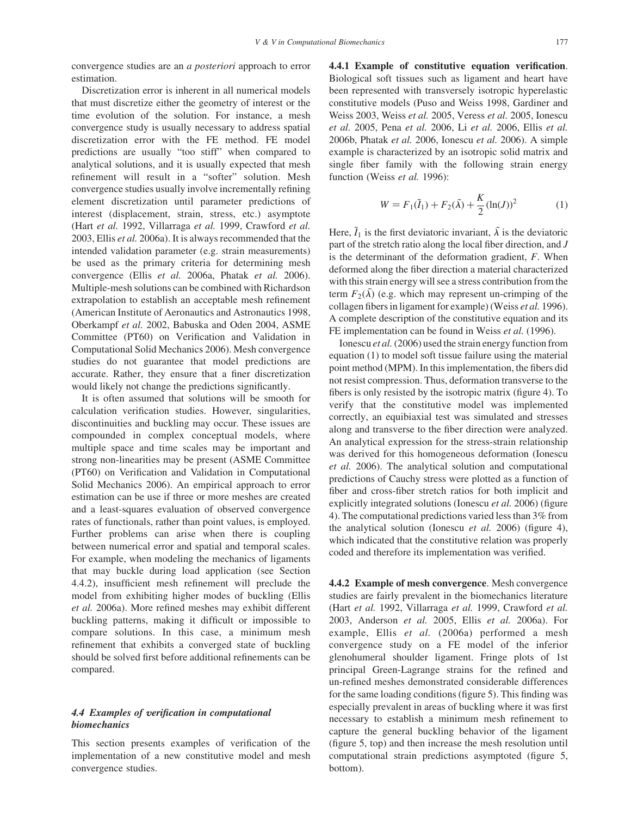convergence studies are an a posteriori approach to error estimation.

Discretization error is inherent in all numerical models that must discretize either the geometry of interest or the time evolution of the solution. For instance, a mesh convergence study is usually necessary to address spatial discretization error with the FE method. FE model predictions are usually "too stiff" when compared to analytical solutions, and it is usually expected that mesh refinement will result in a "softer" solution. Mesh convergence studies usually involve incrementally refining element discretization until parameter predictions of interest (displacement, strain, stress, etc.) asymptote (Hart et al. 1992, Villarraga et al. 1999, Crawford et al. 2003, Ellis et al. 2006a). It is always recommended that the intended validation parameter (e.g. strain measurements) be used as the primary criteria for determining mesh convergence (Ellis et al. 2006a, Phatak et al. 2006). Multiple-mesh solutions can be combined with Richardson extrapolation to establish an acceptable mesh refinement (American Institute of Aeronautics and Astronautics 1998, Oberkampf et al. 2002, Babuska and Oden 2004, ASME Committee (PT60) on Verification and Validation in Computational Solid Mechanics 2006). Mesh convergence studies do not guarantee that model predictions are accurate. Rather, they ensure that a finer discretization would likely not change the predictions significantly.

It is often assumed that solutions will be smooth for calculation verification studies. However, singularities, discontinuities and buckling may occur. These issues are compounded in complex conceptual models, where multiple space and time scales may be important and strong non-linearities may be present (ASME Committee (PT60) on Verification and Validation in Computational Solid Mechanics 2006). An empirical approach to error estimation can be use if three or more meshes are created and a least-squares evaluation of observed convergence rates of functionals, rather than point values, is employed. Further problems can arise when there is coupling between numerical error and spatial and temporal scales. For example, when modeling the mechanics of ligaments that may buckle during load application (see Section 4.4.2), insufficient mesh refinement will preclude the model from exhibiting higher modes of buckling (Ellis et al. 2006a). More refined meshes may exhibit different buckling patterns, making it difficult or impossible to compare solutions. In this case, a minimum mesh refinement that exhibits a converged state of buckling should be solved first before additional refinements can be compared.

# 4.4 Examples of verification in computational biomechanics

This section presents examples of verification of the implementation of a new constitutive model and mesh convergence studies.

4.4.1 Example of constitutive equation verification. Biological soft tissues such as ligament and heart have been represented with transversely isotropic hyperelastic constitutive models (Puso and Weiss 1998, Gardiner and Weiss 2003, Weiss et al. 2005, Veress et al. 2005, Ionescu et al. 2005, Pena et al. 2006, Li et al. 2006, Ellis et al. 2006b, Phatak et al. 2006, Ionescu et al. 2006). A simple example is characterized by an isotropic solid matrix and single fiber family with the following strain energy function (Weiss et al. 1996):

$$
W = F_1(\tilde{I}_1) + F_2(\tilde{\lambda}) + \frac{K}{2}(\ln(J))^2
$$
 (1)

Here,  $\tilde{I}_1$  is the first deviatoric invariant,  $\tilde{\lambda}$  is the deviatoric part of the stretch ratio along the local fiber direction, and J is the determinant of the deformation gradient, F. When deformed along the fiber direction a material characterized with this strain energy will see a stress contribution from the term  $F_2(\tilde{\lambda})$  (e.g. which may represent un-crimping of the collagen fibers in ligament for example) (Weiss et al. 1996). A complete description of the constitutive equation and its FE implementation can be found in Weiss et al. (1996).

Ionescu et al. (2006) used the strain energy function from equation (1) to model soft tissue failure using the material point method (MPM). In this implementation, the fibers did not resist compression. Thus, deformation transverse to the fibers is only resisted by the isotropic matrix (figure 4). To verify that the constitutive model was implemented correctly, an equibiaxial test was simulated and stresses along and transverse to the fiber direction were analyzed. An analytical expression for the stress-strain relationship was derived for this homogeneous deformation (Ionescu et al. 2006). The analytical solution and computational predictions of Cauchy stress were plotted as a function of fiber and cross-fiber stretch ratios for both implicit and explicitly integrated solutions (Ionescu et al. 2006) (figure 4). The computational predictions varied less than 3% from the analytical solution (Ionescu et al. 2006) (figure 4), which indicated that the constitutive relation was properly coded and therefore its implementation was verified.

4.4.2 Example of mesh convergence. Mesh convergence studies are fairly prevalent in the biomechanics literature (Hart et al. 1992, Villarraga et al. 1999, Crawford et al. 2003, Anderson et al. 2005, Ellis et al. 2006a). For example, Ellis et al. (2006a) performed a mesh convergence study on a FE model of the inferior glenohumeral shoulder ligament. Fringe plots of 1st principal Green-Lagrange strains for the refined and un-refined meshes demonstrated considerable differences for the same loading conditions (figure 5). This finding was especially prevalent in areas of buckling where it was first necessary to establish a minimum mesh refinement to capture the general buckling behavior of the ligament (figure 5, top) and then increase the mesh resolution until computational strain predictions asymptoted (figure 5, bottom).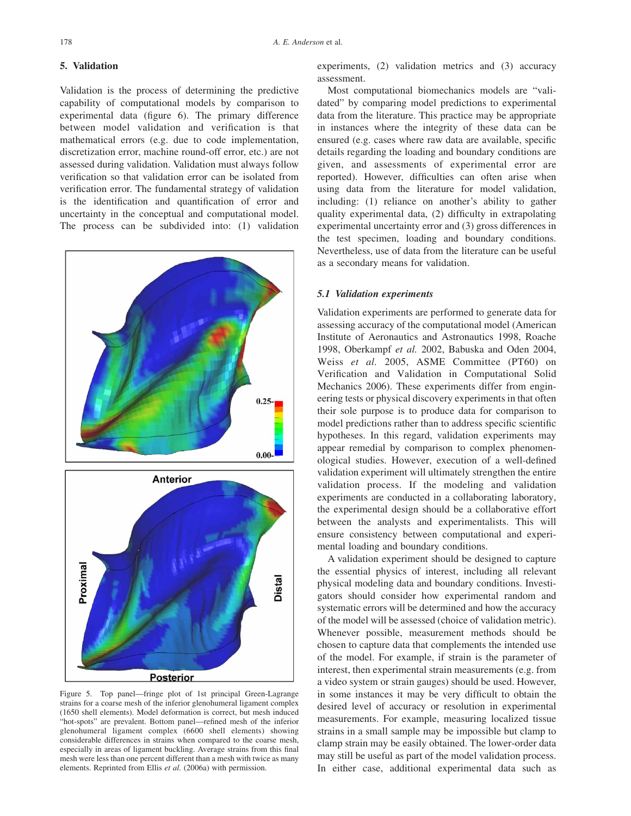## 5. Validation

Validation is the process of determining the predictive capability of computational models by comparison to experimental data (figure 6). The primary difference between model validation and verification is that mathematical errors (e.g. due to code implementation, discretization error, machine round-off error, etc.) are not assessed during validation. Validation must always follow verification so that validation error can be isolated from verification error. The fundamental strategy of validation is the identification and quantification of error and uncertainty in the conceptual and computational model. The process can be subdivided into: (1) validation



Figure 5. Top panel—fringe plot of 1st principal Green-Lagrange strains for a coarse mesh of the inferior glenohumeral ligament complex (1650 shell elements). Model deformation is correct, but mesh induced "hot-spots" are prevalent. Bottom panel—refined mesh of the inferior glenohumeral ligament complex (6600 shell elements) showing considerable differences in strains when compared to the coarse mesh, especially in areas of ligament buckling. Average strains from this final mesh were less than one percent different than a mesh with twice as many elements. Reprinted from Ellis et al. (2006a) with permission.

experiments, (2) validation metrics and (3) accuracy assessment.

Most computational biomechanics models are "validated" by comparing model predictions to experimental data from the literature. This practice may be appropriate in instances where the integrity of these data can be ensured (e.g. cases where raw data are available, specific details regarding the loading and boundary conditions are given, and assessments of experimental error are reported). However, difficulties can often arise when using data from the literature for model validation, including: (1) reliance on another's ability to gather quality experimental data, (2) difficulty in extrapolating experimental uncertainty error and (3) gross differences in the test specimen, loading and boundary conditions. Nevertheless, use of data from the literature can be useful as a secondary means for validation.

## 5.1 Validation experiments

Validation experiments are performed to generate data for assessing accuracy of the computational model (American Institute of Aeronautics and Astronautics 1998, Roache 1998, Oberkampf et al. 2002, Babuska and Oden 2004, Weiss et al. 2005, ASME Committee (PT60) on Verification and Validation in Computational Solid Mechanics 2006). These experiments differ from engineering tests or physical discovery experiments in that often their sole purpose is to produce data for comparison to model predictions rather than to address specific scientific hypotheses. In this regard, validation experiments may appear remedial by comparison to complex phenomenological studies. However, execution of a well-defined validation experiment will ultimately strengthen the entire validation process. If the modeling and validation experiments are conducted in a collaborating laboratory, the experimental design should be a collaborative effort between the analysts and experimentalists. This will ensure consistency between computational and experimental loading and boundary conditions.

A validation experiment should be designed to capture the essential physics of interest, including all relevant physical modeling data and boundary conditions. Investigators should consider how experimental random and systematic errors will be determined and how the accuracy of the model will be assessed (choice of validation metric). Whenever possible, measurement methods should be chosen to capture data that complements the intended use of the model. For example, if strain is the parameter of interest, then experimental strain measurements (e.g. from a video system or strain gauges) should be used. However, in some instances it may be very difficult to obtain the desired level of accuracy or resolution in experimental measurements. For example, measuring localized tissue strains in a small sample may be impossible but clamp to clamp strain may be easily obtained. The lower-order data may still be useful as part of the model validation process. In either case, additional experimental data such as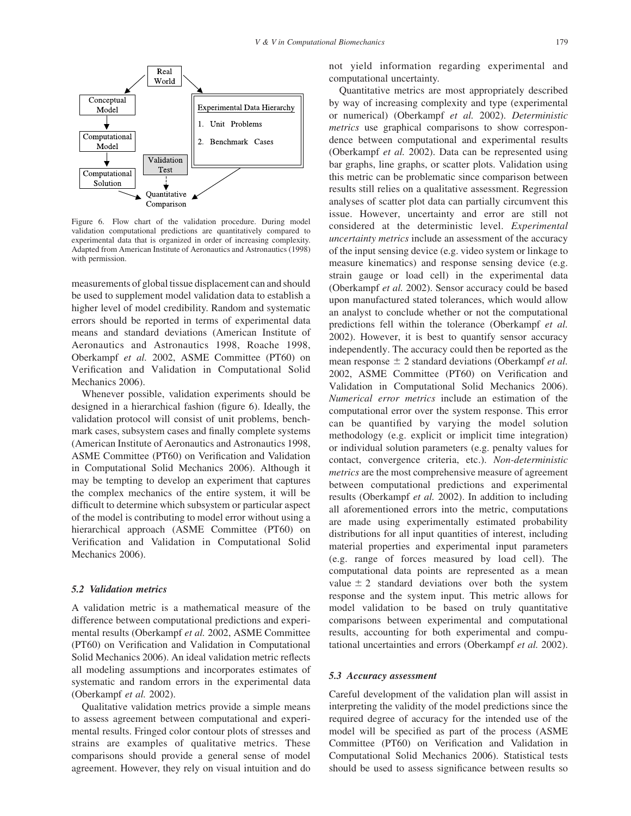

Figure 6. Flow chart of the validation procedure. During model validation computational predictions are quantitatively compared to experimental data that is organized in order of increasing complexity. Adapted from American Institute of Aeronautics and Astronautics (1998) with permission.

measurements of global tissue displacement can and should be used to supplement model validation data to establish a higher level of model credibility. Random and systematic errors should be reported in terms of experimental data means and standard deviations (American Institute of Aeronautics and Astronautics 1998, Roache 1998, Oberkampf et al. 2002, ASME Committee (PT60) on Verification and Validation in Computational Solid Mechanics 2006).

Whenever possible, validation experiments should be designed in a hierarchical fashion (figure 6). Ideally, the validation protocol will consist of unit problems, benchmark cases, subsystem cases and finally complete systems (American Institute of Aeronautics and Astronautics 1998, ASME Committee (PT60) on Verification and Validation in Computational Solid Mechanics 2006). Although it may be tempting to develop an experiment that captures the complex mechanics of the entire system, it will be difficult to determine which subsystem or particular aspect of the model is contributing to model error without using a hierarchical approach (ASME Committee (PT60) on Verification and Validation in Computational Solid Mechanics 2006).

#### 5.2 Validation metrics

A validation metric is a mathematical measure of the difference between computational predictions and experimental results (Oberkampf et al. 2002, ASME Committee (PT60) on Verification and Validation in Computational Solid Mechanics 2006). An ideal validation metric reflects all modeling assumptions and incorporates estimates of systematic and random errors in the experimental data (Oberkampf et al. 2002).

Qualitative validation metrics provide a simple means to assess agreement between computational and experimental results. Fringed color contour plots of stresses and strains are examples of qualitative metrics. These comparisons should provide a general sense of model agreement. However, they rely on visual intuition and do not yield information regarding experimental and computational uncertainty.

Quantitative metrics are most appropriately described by way of increasing complexity and type (experimental or numerical) (Oberkampf et al. 2002). Deterministic metrics use graphical comparisons to show correspondence between computational and experimental results (Oberkampf et al. 2002). Data can be represented using bar graphs, line graphs, or scatter plots. Validation using this metric can be problematic since comparison between results still relies on a qualitative assessment. Regression analyses of scatter plot data can partially circumvent this issue. However, uncertainty and error are still not considered at the deterministic level. Experimental uncertainty metrics include an assessment of the accuracy of the input sensing device (e.g. video system or linkage to measure kinematics) and response sensing device (e.g. strain gauge or load cell) in the experimental data (Oberkampf et al. 2002). Sensor accuracy could be based upon manufactured stated tolerances, which would allow an analyst to conclude whether or not the computational predictions fell within the tolerance (Oberkampf et al. 2002). However, it is best to quantify sensor accuracy independently. The accuracy could then be reported as the mean response  $\pm$  2 standard deviations (Oberkampf *et al.*) 2002, ASME Committee (PT60) on Verification and Validation in Computational Solid Mechanics 2006). Numerical error metrics include an estimation of the computational error over the system response. This error can be quantified by varying the model solution methodology (e.g. explicit or implicit time integration) or individual solution parameters (e.g. penalty values for contact, convergence criteria, etc.). Non-deterministic metrics are the most comprehensive measure of agreement between computational predictions and experimental results (Oberkampf et al. 2002). In addition to including all aforementioned errors into the metric, computations are made using experimentally estimated probability distributions for all input quantities of interest, including material properties and experimental input parameters (e.g. range of forces measured by load cell). The computational data points are represented as a mean value  $\pm$  2 standard deviations over both the system response and the system input. This metric allows for model validation to be based on truly quantitative comparisons between experimental and computational results, accounting for both experimental and computational uncertainties and errors (Oberkampf et al. 2002).

## 5.3 Accuracy assessment

Careful development of the validation plan will assist in interpreting the validity of the model predictions since the required degree of accuracy for the intended use of the model will be specified as part of the process (ASME Committee (PT60) on Verification and Validation in Computational Solid Mechanics 2006). Statistical tests should be used to assess significance between results so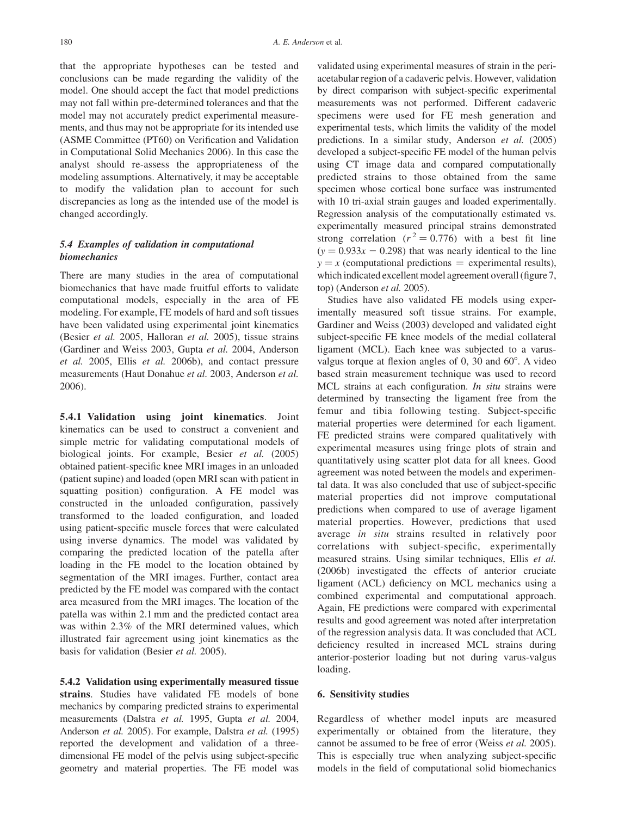that the appropriate hypotheses can be tested and conclusions can be made regarding the validity of the model. One should accept the fact that model predictions may not fall within pre-determined tolerances and that the model may not accurately predict experimental measurements, and thus may not be appropriate for its intended use (ASME Committee (PT60) on Verification and Validation in Computational Solid Mechanics 2006). In this case the analyst should re-assess the appropriateness of the modeling assumptions. Alternatively, it may be acceptable to modify the validation plan to account for such discrepancies as long as the intended use of the model is changed accordingly.

# 5.4 Examples of validation in computational biomechanics

There are many studies in the area of computational biomechanics that have made fruitful efforts to validate computational models, especially in the area of FE modeling. For example, FE models of hard and soft tissues have been validated using experimental joint kinematics (Besier et al. 2005, Halloran et al. 2005), tissue strains (Gardiner and Weiss 2003, Gupta et al. 2004, Anderson et al. 2005, Ellis et al. 2006b), and contact pressure measurements (Haut Donahue et al. 2003, Anderson et al. 2006).

5.4.1 Validation using joint kinematics. Joint kinematics can be used to construct a convenient and simple metric for validating computational models of biological joints. For example, Besier et al. (2005) obtained patient-specific knee MRI images in an unloaded (patient supine) and loaded (open MRI scan with patient in squatting position) configuration. A FE model was constructed in the unloaded configuration, passively transformed to the loaded configuration, and loaded using patient-specific muscle forces that were calculated using inverse dynamics. The model was validated by comparing the predicted location of the patella after loading in the FE model to the location obtained by segmentation of the MRI images. Further, contact area predicted by the FE model was compared with the contact area measured from the MRI images. The location of the patella was within 2.1 mm and the predicted contact area was within 2.3% of the MRI determined values, which illustrated fair agreement using joint kinematics as the basis for validation (Besier et al. 2005).

5.4.2 Validation using experimentally measured tissue strains. Studies have validated FE models of bone mechanics by comparing predicted strains to experimental measurements (Dalstra et al. 1995, Gupta et al. 2004, Anderson et al. 2005). For example, Dalstra et al. (1995) reported the development and validation of a threedimensional FE model of the pelvis using subject-specific geometry and material properties. The FE model was validated using experimental measures of strain in the periacetabular region of a cadaveric pelvis. However, validation by direct comparison with subject-specific experimental measurements was not performed. Different cadaveric specimens were used for FE mesh generation and experimental tests, which limits the validity of the model predictions. In a similar study, Anderson et al. (2005) developed a subject-specific FE model of the human pelvis using CT image data and compared computationally predicted strains to those obtained from the same specimen whose cortical bone surface was instrumented with 10 tri-axial strain gauges and loaded experimentally. Regression analysis of the computationally estimated vs. experimentally measured principal strains demonstrated strong correlation ( $r^2 = 0.776$ ) with a best fit line  $(y = 0.933x - 0.298)$  that was nearly identical to the line  $y = x$  (computational predictions = experimental results), which indicated excellent model agreement overall (figure 7, top) (Anderson et al. 2005).

Studies have also validated FE models using experimentally measured soft tissue strains. For example, Gardiner and Weiss (2003) developed and validated eight subject-specific FE knee models of the medial collateral ligament (MCL). Each knee was subjected to a varusvalgus torque at flexion angles of  $0$ ,  $30$  and  $60^\circ$ . A video based strain measurement technique was used to record MCL strains at each configuration. In situ strains were determined by transecting the ligament free from the femur and tibia following testing. Subject-specific material properties were determined for each ligament. FE predicted strains were compared qualitatively with experimental measures using fringe plots of strain and quantitatively using scatter plot data for all knees. Good agreement was noted between the models and experimental data. It was also concluded that use of subject-specific material properties did not improve computational predictions when compared to use of average ligament material properties. However, predictions that used average in situ strains resulted in relatively poor correlations with subject-specific, experimentally measured strains. Using similar techniques, Ellis et al. (2006b) investigated the effects of anterior cruciate ligament (ACL) deficiency on MCL mechanics using a combined experimental and computational approach. Again, FE predictions were compared with experimental results and good agreement was noted after interpretation of the regression analysis data. It was concluded that ACL deficiency resulted in increased MCL strains during anterior-posterior loading but not during varus-valgus loading.

# 6. Sensitivity studies

Regardless of whether model inputs are measured experimentally or obtained from the literature, they cannot be assumed to be free of error (Weiss et al. 2005). This is especially true when analyzing subject-specific models in the field of computational solid biomechanics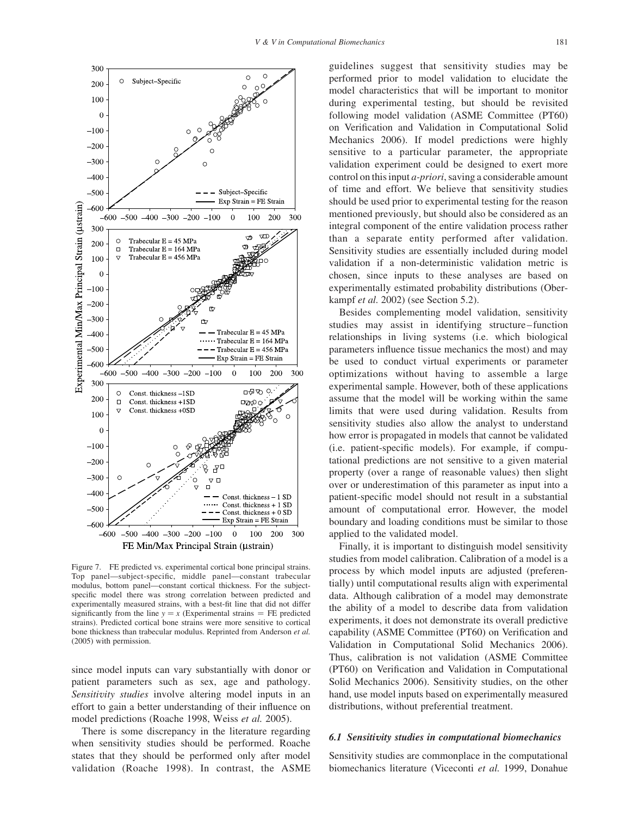

Figure 7. FE predicted vs. experimental cortical bone principal strains. Top panel—subject-specific, middle panel—constant trabecular modulus, bottom panel—constant cortical thickness. For the subjectspecific model there was strong correlation between predicted and experimentally measured strains, with a best-fit line that did not differ significantly from the line  $y = x$  (Experimental strains = FE predicted strains). Predicted cortical bone strains were more sensitive to cortical bone thickness than trabecular modulus. Reprinted from Anderson et al. (2005) with permission.

since model inputs can vary substantially with donor or patient parameters such as sex, age and pathology. Sensitivity studies involve altering model inputs in an effort to gain a better understanding of their influence on model predictions (Roache 1998, Weiss et al. 2005).

There is some discrepancy in the literature regarding when sensitivity studies should be performed. Roache states that they should be performed only after model validation (Roache 1998). In contrast, the ASME guidelines suggest that sensitivity studies may be performed prior to model validation to elucidate the model characteristics that will be important to monitor during experimental testing, but should be revisited following model validation (ASME Committee (PT60) on Verification and Validation in Computational Solid Mechanics 2006). If model predictions were highly sensitive to a particular parameter, the appropriate validation experiment could be designed to exert more control on this input a-priori, saving a considerable amount of time and effort. We believe that sensitivity studies should be used prior to experimental testing for the reason mentioned previously, but should also be considered as an integral component of the entire validation process rather than a separate entity performed after validation. Sensitivity studies are essentially included during model validation if a non-deterministic validation metric is chosen, since inputs to these analyses are based on experimentally estimated probability distributions (Oberkampf et al. 2002) (see Section 5.2).

Besides complementing model validation, sensitivity studies may assist in identifying structure – function relationships in living systems (i.e. which biological parameters influence tissue mechanics the most) and may be used to conduct virtual experiments or parameter optimizations without having to assemble a large experimental sample. However, both of these applications assume that the model will be working within the same limits that were used during validation. Results from sensitivity studies also allow the analyst to understand how error is propagated in models that cannot be validated (i.e. patient-specific models). For example, if computational predictions are not sensitive to a given material property (over a range of reasonable values) then slight over or underestimation of this parameter as input into a patient-specific model should not result in a substantial amount of computational error. However, the model boundary and loading conditions must be similar to those applied to the validated model.

Finally, it is important to distinguish model sensitivity studies from model calibration. Calibration of a model is a process by which model inputs are adjusted (preferentially) until computational results align with experimental data. Although calibration of a model may demonstrate the ability of a model to describe data from validation experiments, it does not demonstrate its overall predictive capability (ASME Committee (PT60) on Verification and Validation in Computational Solid Mechanics 2006). Thus, calibration is not validation (ASME Committee (PT60) on Verification and Validation in Computational Solid Mechanics 2006). Sensitivity studies, on the other hand, use model inputs based on experimentally measured distributions, without preferential treatment.

#### 6.1 Sensitivity studies in computational biomechanics

Sensitivity studies are commonplace in the computational biomechanics literature (Viceconti et al. 1999, Donahue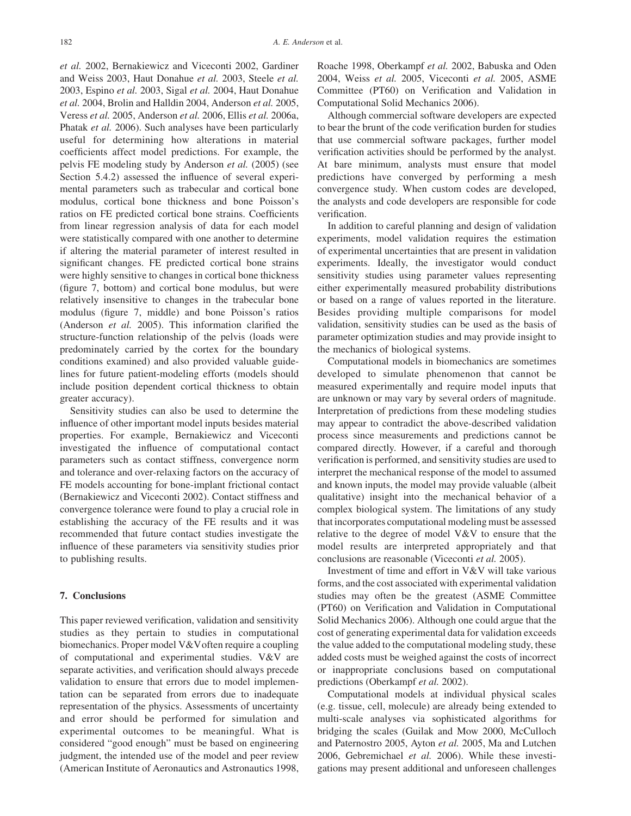et al. 2002, Bernakiewicz and Viceconti 2002, Gardiner and Weiss 2003, Haut Donahue et al. 2003, Steele et al. 2003, Espino et al. 2003, Sigal et al. 2004, Haut Donahue et al. 2004, Brolin and Halldin 2004, Anderson et al. 2005, Veress et al. 2005, Anderson et al. 2006, Ellis et al. 2006a, Phatak et al. 2006). Such analyses have been particularly useful for determining how alterations in material coefficients affect model predictions. For example, the pelvis FE modeling study by Anderson et al. (2005) (see Section 5.4.2) assessed the influence of several experimental parameters such as trabecular and cortical bone modulus, cortical bone thickness and bone Poisson's ratios on FE predicted cortical bone strains. Coefficients from linear regression analysis of data for each model were statistically compared with one another to determine if altering the material parameter of interest resulted in significant changes. FE predicted cortical bone strains were highly sensitive to changes in cortical bone thickness (figure 7, bottom) and cortical bone modulus, but were relatively insensitive to changes in the trabecular bone modulus (figure 7, middle) and bone Poisson's ratios (Anderson et al. 2005). This information clarified the structure-function relationship of the pelvis (loads were predominately carried by the cortex for the boundary conditions examined) and also provided valuable guidelines for future patient-modeling efforts (models should include position dependent cortical thickness to obtain greater accuracy).

Sensitivity studies can also be used to determine the influence of other important model inputs besides material properties. For example, Bernakiewicz and Viceconti investigated the influence of computational contact parameters such as contact stiffness, convergence norm and tolerance and over-relaxing factors on the accuracy of FE models accounting for bone-implant frictional contact (Bernakiewicz and Viceconti 2002). Contact stiffness and convergence tolerance were found to play a crucial role in establishing the accuracy of the FE results and it was recommended that future contact studies investigate the influence of these parameters via sensitivity studies prior to publishing results.

## 7. Conclusions

This paper reviewed verification, validation and sensitivity studies as they pertain to studies in computational biomechanics. Proper model V&Voften require a coupling of computational and experimental studies. V&V are separate activities, and verification should always precede validation to ensure that errors due to model implementation can be separated from errors due to inadequate representation of the physics. Assessments of uncertainty and error should be performed for simulation and experimental outcomes to be meaningful. What is considered "good enough" must be based on engineering judgment, the intended use of the model and peer review (American Institute of Aeronautics and Astronautics 1998, Roache 1998, Oberkampf et al. 2002, Babuska and Oden 2004, Weiss et al. 2005, Viceconti et al. 2005, ASME Committee (PT60) on Verification and Validation in Computational Solid Mechanics 2006).

Although commercial software developers are expected to bear the brunt of the code verification burden for studies that use commercial software packages, further model verification activities should be performed by the analyst. At bare minimum, analysts must ensure that model predictions have converged by performing a mesh convergence study. When custom codes are developed, the analysts and code developers are responsible for code verification.

In addition to careful planning and design of validation experiments, model validation requires the estimation of experimental uncertainties that are present in validation experiments. Ideally, the investigator would conduct sensitivity studies using parameter values representing either experimentally measured probability distributions or based on a range of values reported in the literature. Besides providing multiple comparisons for model validation, sensitivity studies can be used as the basis of parameter optimization studies and may provide insight to the mechanics of biological systems.

Computational models in biomechanics are sometimes developed to simulate phenomenon that cannot be measured experimentally and require model inputs that are unknown or may vary by several orders of magnitude. Interpretation of predictions from these modeling studies may appear to contradict the above-described validation process since measurements and predictions cannot be compared directly. However, if a careful and thorough verification is performed, and sensitivity studies are used to interpret the mechanical response of the model to assumed and known inputs, the model may provide valuable (albeit qualitative) insight into the mechanical behavior of a complex biological system. The limitations of any study that incorporates computational modeling must be assessed relative to the degree of model V&V to ensure that the model results are interpreted appropriately and that conclusions are reasonable (Viceconti et al. 2005).

Investment of time and effort in V&V will take various forms, and the cost associated with experimental validation studies may often be the greatest (ASME Committee (PT60) on Verification and Validation in Computational Solid Mechanics 2006). Although one could argue that the cost of generating experimental data for validation exceeds the value added to the computational modeling study, these added costs must be weighed against the costs of incorrect or inappropriate conclusions based on computational predictions (Oberkampf *et al.* 2002).

Computational models at individual physical scales (e.g. tissue, cell, molecule) are already being extended to multi-scale analyses via sophisticated algorithms for bridging the scales (Guilak and Mow 2000, McCulloch and Paternostro 2005, Ayton et al. 2005, Ma and Lutchen 2006, Gebremichael et al. 2006). While these investigations may present additional and unforeseen challenges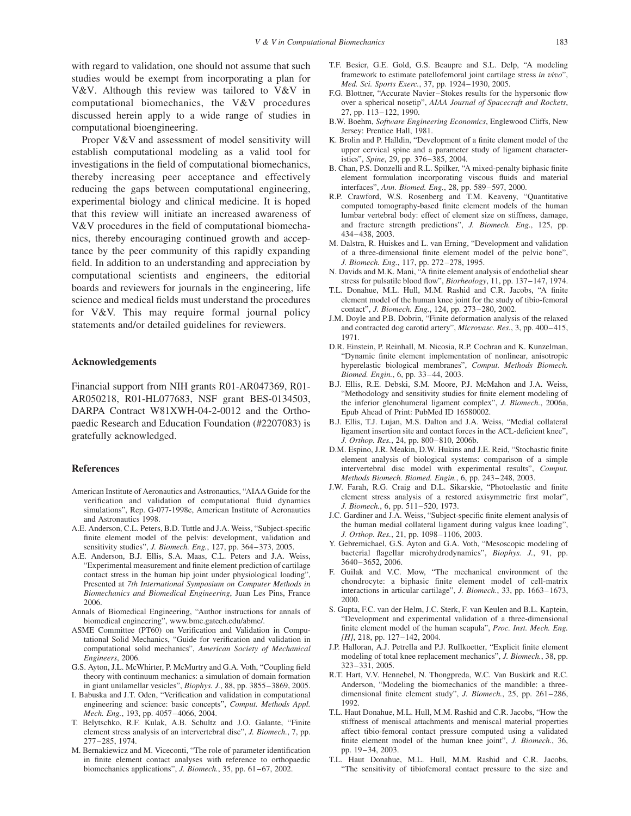with regard to validation, one should not assume that such studies would be exempt from incorporating a plan for V&V. Although this review was tailored to V&V in computational biomechanics, the V&V procedures discussed herein apply to a wide range of studies in computational bioengineering.

Proper V&V and assessment of model sensitivity will establish computational modeling as a valid tool for investigations in the field of computational biomechanics, thereby increasing peer acceptance and effectively reducing the gaps between computational engineering, experimental biology and clinical medicine. It is hoped that this review will initiate an increased awareness of V&V procedures in the field of computational biomechanics, thereby encouraging continued growth and acceptance by the peer community of this rapidly expanding field. In addition to an understanding and appreciation by computational scientists and engineers, the editorial boards and reviewers for journals in the engineering, life science and medical fields must understand the procedures for V&V. This may require formal journal policy statements and/or detailed guidelines for reviewers.

## Acknowledgements

Financial support from NIH grants R01-AR047369, R01- AR050218, R01-HL077683, NSF grant BES-0134503, DARPA Contract W81XWH-04-2-0012 and the Orthopaedic Research and Education Foundation (#2207083) is gratefully acknowledged.

#### References

- American Institute of Aeronautics and Astronautics, "AIAA Guide for the verification and validation of computational fluid dynamics simulations", Rep. G-077-1998e, American Institute of Aeronautics and Astronautics 1998.
- A.E. Anderson, C.L. Peters, B.D. Tuttle and J.A. Weiss, "Subject-specific finite element model of the pelvis: development, validation and sensitivity studies", J. Biomech. Eng., 127, pp. 364–373, 2005.
- A.E. Anderson, B.J. Ellis, S.A. Maas, C.L. Peters and J.A. Weiss, "Experimental measurement and finite element prediction of cartilage contact stress in the human hip joint under physiological loading", Presented at 7th International Symposium on Computer Methods in Biomechanics and Biomedical Engineering, Juan Les Pins, France 2006.
- Annals of Biomedical Engineering, "Author instructions for annals of biomedical engineering", www.bme.gatech.edu/abme/.
- ASME Committee (PT60) on Verification and Validation in Computational Solid Mechanics, "Guide for verification and validation in computational solid mechanics", American Society of Mechanical Engineers, 2006.
- G.S. Ayton, J.L. McWhirter, P. McMurtry and G.A. Voth, "Coupling field theory with continuum mechanics: a simulation of domain formation in giant unilamellar vesicles", Biophys. J., 88, pp. 3855–3869, 2005.
- I. Babuska and J.T. Oden, "Verification and validation in computational engineering and science: basic concepts", Comput. Methods Appl. Mech. Eng., 193, pp. 4057–4066, 2004.
- T. Belytschko, R.F. Kulak, A.B. Schultz and J.O. Galante, "Finite element stress analysis of an intervertebral disc", J. Biomech., 7, pp. 277–285, 1974.
- M. Bernakiewicz and M. Viceconti, "The role of parameter identification in finite element contact analyses with reference to orthopaedic biomechanics applications", J. Biomech., 35, pp. 61–67, 2002.
- T.F. Besier, G.E. Gold, G.S. Beaupre and S.L. Delp, "A modeling framework to estimate patellofemoral joint cartilage stress in vivo", Med. Sci. Sports Exerc., 37, pp. 1924–1930, 2005.
- F.G. Blottner, "Accurate Navier–Stokes results for the hypersonic flow over a spherical nosetip", AIAA Journal of Spacecraft and Rockets, 27, pp. 113–122, 1990.
- B.W. Boehm, Software Engineering Economics, Englewood Cliffs, New Jersey: Prentice Hall, 1981.
- K. Brolin and P. Halldin, "Development of a finite element model of the upper cervical spine and a parameter study of ligament characteristics", Spine, 29, pp. 376–385, 2004.
- B. Chan, P.S. Donzelli and R.L. Spilker, "A mixed-penalty biphasic finite element formulation incorporating viscous fluids and material interfaces", Ann. Biomed. Eng., 28, pp. 589–597, 2000.
- R.P. Crawford, W.S. Rosenberg and T.M. Keaveny, "Quantitative computed tomography-based finite element models of the human lumbar vertebral body: effect of element size on stiffness, damage, and fracture strength predictions", J. Biomech. Eng., 125, pp. 434–438, 2003.
- M. Dalstra, R. Huiskes and L. van Erning, "Development and validation of a three-dimensional finite element model of the pelvic bone", J. Biomech. Eng., 117, pp. 272–278, 1995.
- N. Davids and M.K. Mani, "A finite element analysis of endothelial shear stress for pulsatile blood flow", Biorheology, 11, pp. 137–147, 1974.
- T.L. Donahue, M.L. Hull, M.M. Rashid and C.R. Jacobs, "A finite element model of the human knee joint for the study of tibio-femoral contact", J. Biomech. Eng., 124, pp. 273–280, 2002.
- J.M. Doyle and P.B. Dobrin, "Finite deformation analysis of the relaxed and contracted dog carotid artery", Microvasc. Res., 3, pp. 400–415, 1971.
- D.R. Einstein, P. Reinhall, M. Nicosia, R.P. Cochran and K. Kunzelman, "Dynamic finite element implementation of nonlinear, anisotropic hyperelastic biological membranes", Comput. Methods Biomech. Biomed. Engin., 6, pp. 33–44, 2003.
- B.J. Ellis, R.E. Debski, S.M. Moore, P.J. McMahon and J.A. Weiss, "Methodology and sensitivity studies for finite element modeling of the inferior glenohumeral ligament complex", J. Biomech., 2006a, Epub Ahead of Print: PubMed ID 16580002.
- B.J. Ellis, T.J. Lujan, M.S. Dalton and J.A. Weiss, "Medial collateral ligament insertion site and contact forces in the ACL-deficient knee", J. Orthop. Res., 24, pp. 800–810, 2006b.
- D.M. Espino, J.R. Meakin, D.W. Hukins and J.E. Reid, "Stochastic finite element analysis of biological systems: comparison of a simple intervertebral disc model with experimental results", Comput. Methods Biomech. Biomed. Engin., 6, pp. 243–248, 2003.
- J.W. Farah, R.G. Craig and D.L. Sikarskie, "Photoelastic and finite element stress analysis of a restored axisymmetric first molar", J. Biomech., 6, pp. 511–520, 1973.
- J.C. Gardiner and J.A. Weiss, "Subject-specific finite element analysis of the human medial collateral ligament during valgus knee loading", J. Orthop. Res., 21, pp. 1098–1106, 2003.
- Y. Gebremichael, G.S. Ayton and G.A. Voth, "Mesoscopic modeling of bacterial flagellar microhydrodynamics", Biophys. J., 91, pp. 3640–3652, 2006.
- F. Guilak and V.C. Mow, "The mechanical environment of the chondrocyte: a biphasic finite element model of cell-matrix interactions in articular cartilage", J. Biomech., 33, pp. 1663–1673, 2000.
- S. Gupta, F.C. van der Helm, J.C. Sterk, F. van Keulen and B.L. Kaptein, "Development and experimental validation of a three-dimensional finite element model of the human scapula", Proc. Inst. Mech. Eng. [H], 218, pp. 127-142, 2004.
- J.P. Halloran, A.J. Petrella and P.J. Rullkoetter, "Explicit finite element modeling of total knee replacement mechanics", J. Biomech., 38, pp. 323–331, 2005.
- R.T. Hart, V.V. Hennebel, N. Thongpreda, W.C. Van Buskirk and R.C. Anderson, "Modeling the biomechanics of the mandible: a threedimensional finite element study", J. Biomech., 25, pp. 261–286, 1992.
- T.L. Haut Donahue, M.L. Hull, M.M. Rashid and C.R. Jacobs, "How the stiffness of meniscal attachments and meniscal material properties affect tibio-femoral contact pressure computed using a validated finite element model of the human knee joint", J. Biomech., 36, pp. 19–34, 2003.
- T.L. Haut Donahue, M.L. Hull, M.M. Rashid and C.R. Jacobs, "The sensitivity of tibiofemoral contact pressure to the size and